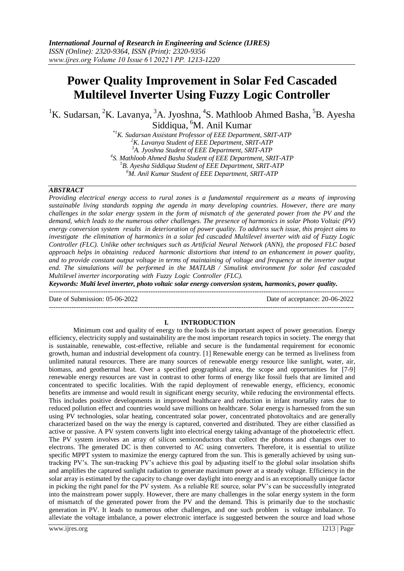# **Power Quality Improvement in Solar Fed Cascaded Multilevel Inverter Using Fuzzy Logic Controller**

<sup>1</sup>K. Sudarsan, <sup>2</sup>K. Lavanya, <sup>3</sup>A. Jyoshna, <sup>4</sup>S. Mathloob Ahmed Basha, <sup>5</sup>B. Ayesha Siddiqua, <sup>6</sup>M. Anil Kumar

*\*1K. Sudarsan Assistant Professor of EEE Department, SRIT-ATP K. Lavanya Student of EEE Department, SRIT-ATP A. Jyoshna Student of EEE Department, SRIT-ATP S. Mathloob Ahmed Basha Student of EEE Department, SRIT-ATP B. Ayesha Siddiqua Student of EEE Department, SRIT-ATP M. Anil Kumar Student of EEE Department, SRIT-ATP*

#### *ABSTRACT*

*Providing electrical energy access to rural zones is a fundamental requirement as a means of improving sustainable living standards topping the agenda in many developing countries. However, there are many challenges in the solar energy system in the form of mismatch of the generated power from the PV and the demand, which leads to the numerous other challenges. The presence of harmonics in solar Photo Voltaic (PV)* energy conversion system results in deterioration of power quality. To address such issue, this project aims to *investigate the elimination of harmonics in a solar fed cascaded Multilevel inverter with aid of Fuzzy Logic Controller (FLC). Unlike other techniques such as Artificial Neural Network (ANN), the proposed FLC based approach helps in obtaining reduced harmonic distortions that intend to an enhancement in power quality, and to provide constant output voltage in terms of maintaining of voltage and frequency at the inverter output end. The simulations will be performed in the MATLAB / Simulink environment for solar fed cascaded Multilevel inverter incorporating with Fuzzy Logic Controller (FLC).*

*Keywords: Multi level inverter, photo voltaic solar energy conversion system, harmonics, power quality.*  $-1\leq i\leq n-1$ 

Date of Submission: 05-06-2022 Date of acceptance: 20-06-2022

# **I. INTRODUCTION**

---------------------------------------------------------------------------------------------------------------------------------------

Minimum cost and quality of energy to the loads is the important aspect of power generation. Energy efficiency, electricity supply and sustainability are the most important research topics in society. The energy that is sustainable, renewable, cost-effective, reliable and secure is the fundamental requirement for economic growth, human and industrial development ofa country. [1] Renewable energy can be termed as liveliness from unlimited natural resources. There are many sources of renewable energy resource like sunlight, water, air, biomass, and geothermal heat. Over a specified geographical area, the scope and opportunities for [7-9] renewable energy resources are vast in contrast to other forms of energy like fossil fuels that are limited and concentrated to specific localities. With the rapid deployment of renewable energy, efficiency, economic benefits are immense and would result in significant energy security, while reducing the environmental effects. This includes positive developments in improved healthcare and reduction in infant mortality rates due to reduced pollution effect and countries would save millions on healthcare. Solar energy is harnessed from the sun using PV technologies, solar heating, concentrated solar power, concentrated photovoltaics and are generally characterized based on the way the energy is captured, converted and distributed. They are either classified as active or passive. A PV system converts light into electrical energy taking advantage of the photoelectric effect. The PV system involves an array of silicon semiconductors that collect the photons and changes over to electrons. The generated DC is then converted to AC using converters. Therefore, it is essential to utilize specific MPPT system to maximize the energy captured from the sun. This is generally achieved by using suntracking PV's. The sun-tracking PV's achieve this goal by adjusting itself to the global solar insolation shifts and amplifies the captured sunlight radiation to generate maximum power at a steady voltage. Efficiency in the solar array is estimated by the capacity to change over daylight into energy and is an exceptionally unique factor in picking the right panel for the PV system. As a reliable RE source, solar PV's can be successfully integrated into the mainstream power supply. However, there are many challenges in the solar energy system in the form of mismatch of the generated power from the PV and the demand. This is primarily due to the stochastic generation in PV. It leads to numerous other challenges, and one such problem is voltage imbalance. To alleviate the voltage imbalance, a power electronic interface is suggested between the source and load whose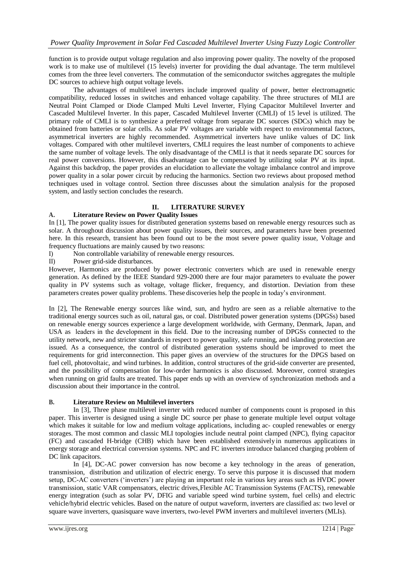function is to provide output voltage regulation and also improving power quality. The novelty of the proposed work is to make use of multilevel (15 levels) inverter for providing the dual advantage. The term multilevel comes from the three level converters. The commutation of the semiconductor switches aggregates the multiple DC sources to achieve high output voltage levels.

The advantages of multilevel inverters include improved quality of power, better electromagnetic compatibility, reduced losses in switches and enhanced voltage capability. The three structures of MLI are Neutral Point Clamped or Diode Clamped Multi Level Inverter, Flying Capacitor Multilevel Inverter and Cascaded Multilevel Inverter. In this paper, Cascaded Multilevel Inverter (CMLI) of 15 level is utilized. The primary role of CMLI is to synthesize a preferred voltage from separate DC sources (SDCs) which may be obtained from batteries or solar cells. As solar PV voltages are variable with respect to environmental factors, asymmetrical inverters are highly recommended. Asymmetrical inverters have unlike values of DC link voltages. Compared with other multilevel inverters, CMLI requires the least number of components to achieve the same number of voltage levels. The only disadvantage of the CMLI is that it needs separate DC sources for real power conversions. However, this disadvantage can be compensated by utilizing solar PV at its input. Against this backdrop, the paper provides an elucidation to alleviate the voltage imbalance control and improve power quality in a solar power circuit by reducing the harmonics. Section two reviews about proposed method techniques used in voltage control. Section three discusses about the simulation analysis for the proposed system, and lastly section concludes the research.

# **II. LITERATURE SURVEY**

# **A. Literature Review on Power Quality Issues**

In [1], The power quality issues for distributed generation systems based on renewable energy resources such as solar. A throughout discussion about power quality issues, their sources, and parameters have been presented here. In this research, transient has been found out to be the most severe power quality issue, Voltage and frequency fluctuations are mainly caused by two reasons:

I) Non controllable variability of renewable energy resources.

II) Power grid-side disturbances.

However, Harmonics are produced by power electronic converters which are used in renewable energy generation. As defined by the IEEE Standard 929-2000 there are four major parameters to evaluate the power quality in PV systems such as voltage, voltage flicker, frequency, and distortion. Deviation from these parameters creates power quality problems. These discoveries help the people in today's environment.

In [2], The Renewable energy sources like wind, sun, and hydro are seen as a reliable alternative to the traditional energy sources such as oil, natural gas, or coal. Distributed power generation systems (DPGSs) based on renewable energy sources experience a large development worldwide, with Germany, Denmark, Japan, and USA as leaders in the development in this field. Due to the increasing number of DPGSs connected to the utility network, new and stricter standards in respect to power quality, safe running, and islanding protection are issued. As a consequence, the control of distributed generation systems should be improved to meet the requirements for grid interconnection. This paper gives an overview of the structures for the DPGS based on fuel cell, photovoltaic, and wind turbines. In addition, control structures of the grid-side converter are presented, and the possibility of compensation for low-order harmonics is also discussed. Moreover, control strategies when running on grid faults are treated. This paper ends up with an overview of synchronization methods and a discussion about their importance in the control.

# **B. Literature Review on Multilevel inverters**

In [3], Three phase multilevel inverter with reduced number of components count is proposed in this paper. This inverter is designed using a single DC source per phase to generate multiple level output voltage which makes it suitable for low and medium voltage applications, including ac- coupled renewables or energy storages. The most common and classic MLI topologies include neutral point clamped (NPC), flying capacitor (FC) and cascaded H-bridge (CHB) which have been established extensively in numerous applications in energy storage and electrical conversion systems. NPC and FC inverters introduce balanced charging problem of DC link capacitors.

In [4], DC-AC power conversion has now become a key technology in the areas of generation, transmission, distribution and utilization of electric energy. To serve this purpose it is discussed that modern setup, DC-AC converters ('inverters') are playing an important role in various key areas such as HVDC power transmission, static VAR compensators, electric drives,Flexible AC Transmission Systems (FACTS), renewable energy integration (such as solar PV, DFIG and variable speed wind turbine system, fuel cells) and electric vehicle/hybrid electric vehicles. Based on the nature of output waveform, inverters are classified as: two level or square wave inverters, quasisquare wave inverters, two-level PWM inverters and multilevel inverters (MLIs).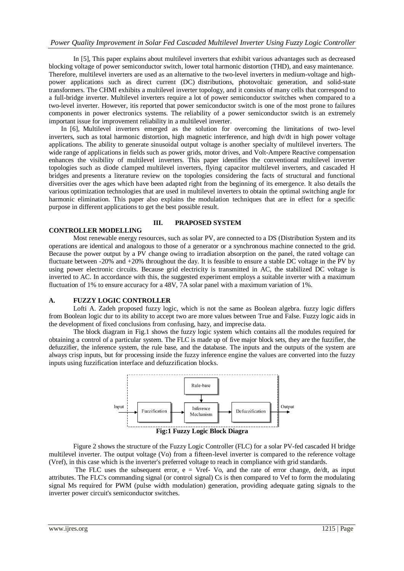# *Power Quality Improvement in Solar Fed Cascaded Multilevel Inverter Using Fuzzy Logic Controller*

In [5], This paper explains about multilevel inverters that exhibit various advantages such as decreased blocking voltage of power semiconductor switch, lower total harmonic distortion (THD), and easy maintenance. Therefore, multilevel inverters are used as an alternative to the two-level inverters in medium-voltage and highpower applications such as direct current (DC) distributions, photovoltaic generation, and solid-state transformers. The CHMI exhibits a multilevel inverter topology, and it consists of many cells that correspond to a full-bridge inverter. Multilevel inverters require a lot of power semiconductor switches when compared to a two-level inverter. However, itis reported that power semiconductor switch is one of the most prone to failures components in power electronics systems. The reliability of a power semiconductor switch is an extremely important issue for improvement reliability in a multilevel inverter.

In [6], Multilevel inverters emerged as the solution for overcoming the limitations of two- level inverters, such as total harmonic distortion, high magnetic interference, and high dv/dt in high power voltage applications. The ability to generate sinusoidal output voltage is another specialty of multilevel inverters. The wide range of applications in fields such as power grids, motor drives, and Volt-Ampere Reactive compensation enhances the visibility of multilevel inverters. This paper identifies the conventional multilevel inverter topologies such as diode clamped multilevel inverters, flying capacitor multilevel inverters, and cascaded H bridges and presents a literature review on the topologies considering the facts of structural and functional diversities over the ages which have been adapted right from the beginning of its emergence. It also details the various optimization technologies that are used in multilevel inverters to obtain the optimal switching angle for harmonic elimination. This paper also explains the modulation techniques that are in effect for a specific purpose in different applications to get the best possible result.

# **CONTROLLER MODELLING**

#### **III. PRAPOSED SYSTEM**

Most renewable energy resources, such as solar PV, are connected to a DS (Distribution System and its operations are identical and analogous to those of a generator or a synchronous machine connected to the grid. Because the power output by a PV change owing to irradiation absorption on the panel, the rated voltage can fluctuate between -20% and +20% throughout the day. It is feasible to ensure a stable DC voltage in the PV by using power electronic circuits. Because grid electricity is transmitted in AC, the stabilized DC voltage is inverted to AC. In accordance with this, the suggested experiment employs a suitable inverter with a maximum fluctuation of 1% to ensure accuracy for a 48V, 7A solar panel with a maximum variation of 1%.

#### **A. FUZZY LOGIC CONTROLLER**

Lofti A. Zadeh proposed fuzzy logic, which is not the same as Boolean algebra. fuzzy logic differs from Boolean logic dur to its ability to accept two are more values between True and False. Fuzzy logic aids in the development of fixed conclusions from confusing, hazy, and imprecise data.

The block diagram in Fig.1 shows the fuzzy logic system which contains all the modules required for obtaining a control of a particular system. The FLC is made up of five major block sets, they are the fuzzifier, the defuzzifier, the inference system, the rule base, and the database. The inputs and the outputs of the system are always crisp inputs, but for processing inside the fuzzy inference engine the values are converted into the fuzzy inputs using fuzzification interface and defuzzification blocks.



Figure 2 shows the structure of the Fuzzy Logic Controller (FLC) for a solar PV-fed cascaded H bridge multilevel inverter. The output voltage (Vo) from a fifteen-level inverter is compared to the reference voltage (Vref), in this case which is the inverter's preferred voltage to reach in compliance with grid standards.

The FLC uses the subsequent error,  $e = Vref-Vo$ , and the rate of error change,  $de/dt$ , as input attributes. The FLC's commanding signal (or control signal) Cs is then compared to Vef to form the modulating signal Ms required for PWM (pulse width modulation) generation, providing adequate gating signals to the inverter power circuit's semiconductor switches.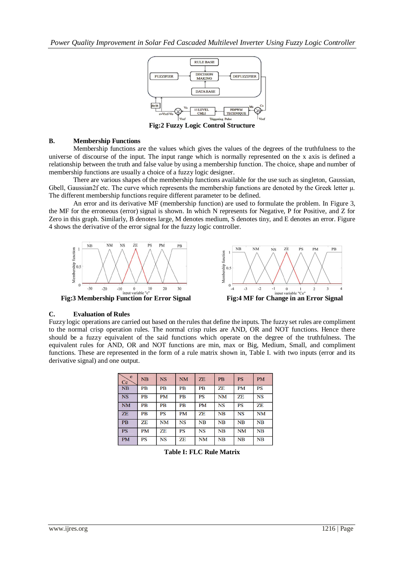

**Fig:2 Fuzzy Logic Control Structure**

# **B. Membership Functions**

Membership functions are the values which gives the values of the degrees of the truthfulness to the universe of discourse of the input. The input range which is normally represented on the x axis is defined a relationship between the truth and false value by using a membership function. The choice, shape and number of membership functions are usually a choice of a fuzzy logic designer.

There are various shapes of the membership functions available for the use such as singleton, Gaussian, Gbell, Gaussian2f etc. The curve which represents the membership functions are denoted by the Greek letter  $\mu$ . The different membership functions require different parameter to be defined.

An error and its derivative MF (membership function) are used to formulate the problem. In Figure 3, the MF for the erroneous (error) signal is shown. In which N represents for Negative, P for Positive, and Z for Zero in this graph. Similarly, B denotes large, M denotes medium, S denotes tiny, and E denotes an error. Figure 4 shows the derivative of the error signal for the fuzzy logic controller.





# **C. Evaluation of Rules**

Fuzzy logic operations are carried out based on the rules that define the inputs. The fuzzy set rules are compliment to the normal crisp operation rules. The normal crisp rules are AND, OR and NOT functions. Hence there should be a fuzzy equivalent of the said functions which operate on the degree of the truthfulness. The equivalent rules for AND, OR and NOT functions are min, max or Big, Medium, Small, and compliment functions. These are represented in the form of a rule matrix shown in, Table I. with two inputs (error and its derivative signal) and one output.

| e<br>Ce   | NB        | <b>NS</b> | <b>NM</b> | <b>ZE</b> | <b>PB</b> | <b>PS</b> | <b>PM</b> |
|-----------|-----------|-----------|-----------|-----------|-----------|-----------|-----------|
| NB        | <b>PB</b> | <b>PB</b> | <b>PB</b> | <b>PB</b> | ZΕ        | <b>PM</b> | <b>PS</b> |
| <b>NS</b> | <b>PB</b> | <b>PM</b> | <b>PB</b> | <b>PS</b> | <b>NM</b> | ZΕ        | <b>NS</b> |
| <b>NM</b> | <b>PB</b> | <b>PB</b> | <b>PB</b> | <b>PM</b> | <b>NS</b> | <b>PS</b> | ZΕ        |
| <b>ZE</b> | <b>PB</b> | <b>PS</b> | <b>PM</b> | ZΕ        | <b>NB</b> | <b>NS</b> | <b>NM</b> |
| <b>PB</b> | ZE.       | <b>NM</b> | NS        | NB        | NB        | NB        | NB        |
| <b>PS</b> | <b>PM</b> | ZΕ        | PS        | <b>NS</b> | NB        | <b>NM</b> | NB        |
| <b>PM</b> | PS        | <b>NS</b> | ZE        | NM        | NB        | NB        | NB        |

**Table I: FLC Rule Matrix**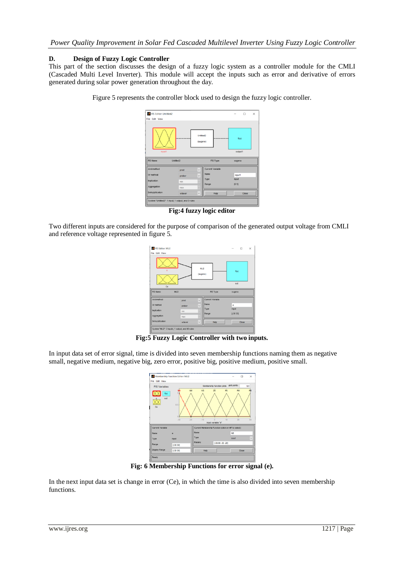# **D. Design of Fuzzy Logic Controller**

This part of the section discusses the design of a fuzzy logic system as a controller module for the CMLI (Cascaded Multi Level Inverter). This module will accept the inputs such as error and derivative of errors generated during solar power generation throughout the day.

|                | FIS Editor: Untitled2 |                                   |                  |         | $\Box$ | $\times$ |
|----------------|-----------------------|-----------------------------------|------------------|---------|--------|----------|
| File Edit View |                       |                                   |                  |         |        |          |
|                |                       | Untilled <sub>2</sub><br>(sugeno) |                  | f(u)    |        |          |
| input1         |                       |                                   |                  | output1 |        |          |
|                |                       |                                   |                  |         |        |          |
| FIS Name:      | Untitled2             |                                   | FIS Type:        | sugeno  |        |          |
| And method     | prod                  | $\checkmark$                      | Current Variable |         |        |          |
| Or method      | probor                | $\checkmark$                      | Name             | input1  |        |          |
| Implication    | min                   |                                   | Type             | inout   |        |          |
| Aggregation    | max                   |                                   | Range            | [01]    |        |          |

Figure 5 represents the controller block used to design the fuzzy logic controller.

**Fig:4 fuzzy logic editor**

Two different inputs are considered for the purpose of comparison of the generated output voltage from CMLI and reference voltage represented in figure 5.

| FIS Editor: MLI2      |        |                         |                  | $\overline{\phantom{a}}$ | $\times$<br>$\Box$ |  |  |
|-----------------------|--------|-------------------------|------------------|--------------------------|--------------------|--|--|
| <b>File Edit View</b> |        |                         |                  |                          |                    |  |  |
|                       |        | <b>MLI2</b><br>(sugeno) |                  | f(u)                     |                    |  |  |
| out<br>Ce             |        |                         |                  |                          |                    |  |  |
| FIS Name:             | MLI2   |                         | FIS Type:        | sugeno                   |                    |  |  |
| And method            | prod   | $\checkmark$            | Current Variable |                          |                    |  |  |
| Or method             | probor | $\checkmark$            | Name             | ۰                        |                    |  |  |
| Implication           | min    |                         | Type<br>Range    | input<br>$[-30, 30]$     |                    |  |  |
| Aggregation           | max    |                         |                  |                          |                    |  |  |
| Defuzzification       | wtaver | $\checkmark$            | Help             |                          | Close              |  |  |
|                       |        |                         |                  |                          |                    |  |  |

**Fig:5 Fuzzy Logic Controller with two inputs.**

In input data set of error signal, time is divided into seven membership functions naming them as negative small, negative medium, negative big, zero error, positive big, positive medium, positive small.

| File Edit View                                                                                                                                                                |             |                           |                      |              |  |  |
|-------------------------------------------------------------------------------------------------------------------------------------------------------------------------------|-------------|---------------------------|----------------------|--------------|--|--|
| <b>FIS Variables</b>                                                                                                                                                          |             | Membership function plots | plot points:         | 181          |  |  |
| <b>NM</b><br><b>NS</b><br><b>ZE</b><br><b>PS</b><br>PM<br>PB<br>f(u)<br>out<br>0.5<br>Ce<br>ń<br>$-20$<br>$-10$<br>30 <sup>2</sup><br>$-30$<br>10<br>20<br>input variable "e" |             |                           |                      |              |  |  |
| Current Variable<br>Current Membership Function (click on MF to select)                                                                                                       |             |                           |                      |              |  |  |
| Name                                                                                                                                                                          | ë           | Name                      | NB                   |              |  |  |
| Туре                                                                                                                                                                          | input       | Type                      | trimf                | $\checkmark$ |  |  |
| Range                                                                                                                                                                         | $[-30, 30]$ | Params                    | $[-39.99 - 30 - 20]$ |              |  |  |
|                                                                                                                                                                               |             | Help                      | Close                |              |  |  |

**Fig: 6 Membership Functions for error signal (e).**

In the next input data set is change in error (Ce), in which the time is also divided into seven membership functions.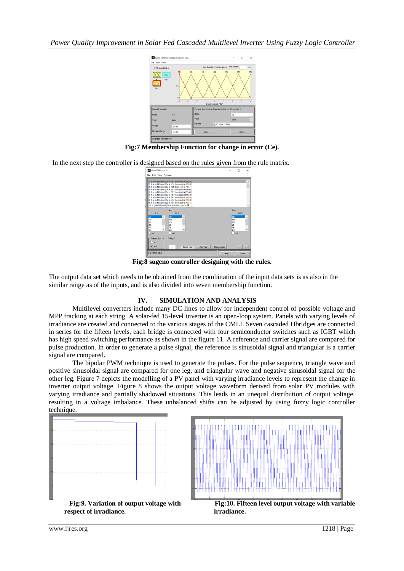*Power Quality Improvement in Solar Fed Cascaded Multilevel Inverter Using Fuzzy Logic Controller*



**Fig:7 Membership Function for change in error (Ce).**

In the next step the controller is designed based on the rules given from the rule matrix.

| Rule Editor: MLI1                                                             |                                                                                                                                                                                                                                                                                                                                                                                                                                                                                                                                                                     |          |             | $\times$                                                                                        |
|-------------------------------------------------------------------------------|---------------------------------------------------------------------------------------------------------------------------------------------------------------------------------------------------------------------------------------------------------------------------------------------------------------------------------------------------------------------------------------------------------------------------------------------------------------------------------------------------------------------------------------------------------------------|----------|-------------|-------------------------------------------------------------------------------------------------|
| File Edit View Options                                                        |                                                                                                                                                                                                                                                                                                                                                                                                                                                                                                                                                                     |          |             |                                                                                                 |
|                                                                               | I. If (e is NB) and (Ce is NB) then (out is PB) (1)<br>2. If (e is NB) and (Ce is NS) then (out is PB) (1)<br>3. If (e is NB) and (Ce is NM) then (out is PB) (1)<br>4. If (e is NB) and (Ce is ZE) then (out is PB) (1)<br>5. If (e is NB) and (Ce is PB) then (out is ZE) (1)<br>6. If (e is NB) and (Ce is PS) then (out is PM) (1)<br>7. If (e is NB) and (Ce is PM) then (out is PS) (1)<br>8. If (e is NS) and (Ce is NB) then (out is PB) (1)<br>9. If (e is NS) and (Ce is NS) then (out is PM) (1)<br>10. If (e is NS) and (Ce is NM) then (out is PB) (1) |          |             | $\lambda$                                                                                       |
| ois                                                                           | and<br>Ce is                                                                                                                                                                                                                                                                                                                                                                                                                                                                                                                                                        |          |             | Then<br>out in                                                                                  |
| <b>NB</b><br>Α<br><b>NM</b><br><b>NS</b><br>ZE<br>PS<br>v<br>PM<br>$\Box$ not | <b>NB</b><br>$\lambda$<br><b>NM</b><br><b>NS</b><br>ZE<br>PS<br>v<br><b>PM</b><br>not                                                                                                                                                                                                                                                                                                                                                                                                                                                                               |          |             | <b>NB</b><br>Α<br><b>NM</b><br><b>NS</b><br>ZE<br><b>PS</b><br>$\checkmark$<br>PM<br>$\Box$ not |
| Connection<br>$\cap$ or<br>$\circledcirc$ and                                 | Weight:<br>Delete rule<br>1                                                                                                                                                                                                                                                                                                                                                                                                                                                                                                                                         | Add rule | Change rule | 32<br>$\alpha$                                                                                  |
| FIS Name: MLI1                                                                |                                                                                                                                                                                                                                                                                                                                                                                                                                                                                                                                                                     |          | Help        | Close                                                                                           |

**Fig:8 sugeno controller designing with the rules.**

The output data set which needs to be obtained from the combination of the input data sets is as also in the similar range as of the inputs, and is also divided into seven membership function.

# **IV. SIMULATION AND ANALYSIS**

 Multilevel converters include many DC lines to allow for independent control of possible voltage and MPP tracking at each string. A solar-fed 15-level inverter is an open-loop system. Panels with varying levels of irradiance are created and connected to the various stages of the CMLI. Seven cascaded Hbridges are connected in series for the fifteen levels, each bridge is connected with four semiconductor switches such as IGBT which has high speed switching performance as shown in the figure 11. A reference and carrier signal are compared for pulse production. In order to generate a pulse signal, the reference is sinusoidal signal and triangular is a carrier signal are compared.

 The bipolar PWM technique is used to generate the pulses. For the pulse sequence, triangle wave and positive sinusoidal signal are compared for one leg, and triangular wave and negative sinusoidal signal for the other leg. Figure 7 depicts the modelling of a PV panel with varying irradiance levels to represent the change in inverter output voltage. Figure 8 shows the output voltage waveform derived from solar PV modules with varying irradiance and partially shadowed situations. This leads in an unequal distribution of output voltage, resulting in a voltage imbalance. These unbalanced shifts can be adjusted by using fuzzy logic controller technique.





**Fig:10. Fifteen level output voltage with variable**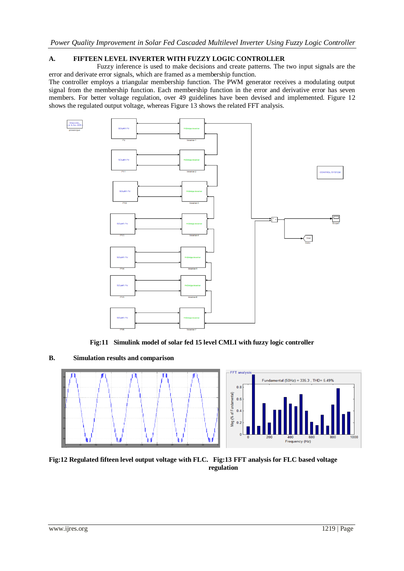# **A. FIFTEEN LEVEL INVERTER WITH FUZZY LOGIC CONTROLLER**

 Fuzzy inference is used to make decisions and create patterns. The two input signals are the error and derivate error signals, which are framed as a membership function.

The controller employs a triangular membership function. The PWM generator receives a modulating output signal from the membership function. Each membership function in the error and derivative error has seven members. For better voltage regulation, over 49 guidelines have been devised and implemented. Figure 12 shows the regulated output voltage, whereas Figure 13 shows the related FFT analysis.



**Fig:11 Simulink model of solar fed 15 level CMLI with fuzzy logic controller**

**B. Simulation results and comparison**



**Fig:12 Regulated fifteen level output voltage with FLC. Fig:13 FFT analysis for FLC based voltage regulation**